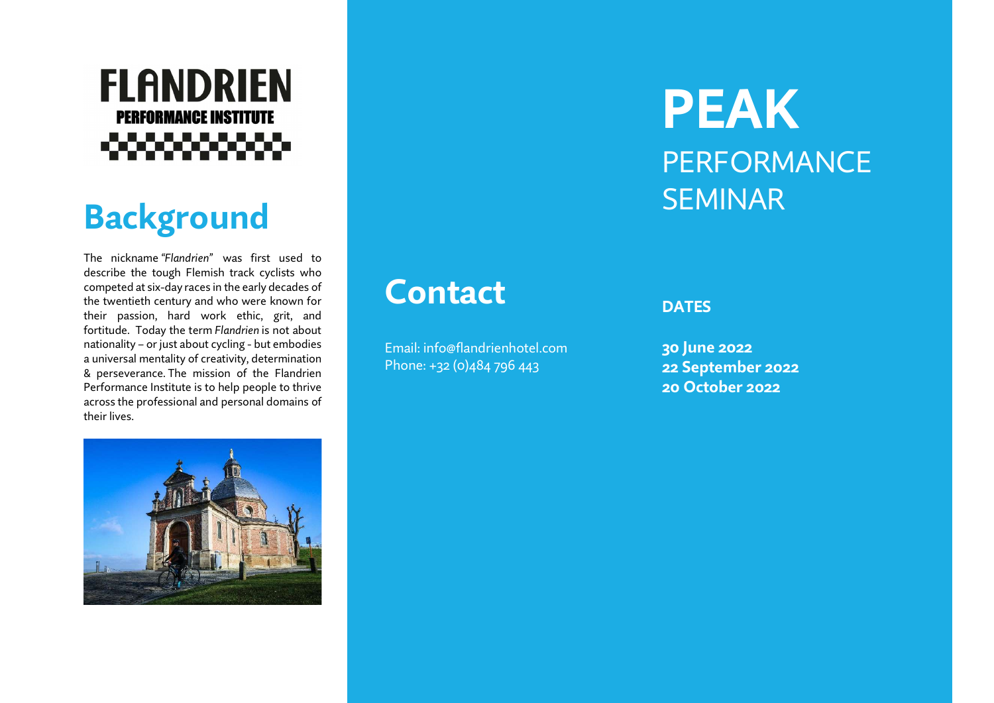#### **FLANDRIEN PERFORMANCE INSTITUTE** ೲೲೲೲ

# **Background**

The nickname "Flandrien" was first used to describe the tough Flemish track cyclists who competed at six-day races in the early decades of the twentieth century and who were known for their passion, hard work ethic, grit, and fortitude. Today the term Flandrien is not about nationality – or just about cycling - but embodies a universal mentality of creativity, determination & perseverance. The mission of the Flandrien Performance Institute is to help people to thrive across the professional and personal domains of their lives.



Email: info@flandrienhotel.com Phone: +32 (0)484 796 443

# PEAK **PERFORMANCE** SEMINAR

#### **DATES**

30 June 2022 22 September 2022 20 October 2022

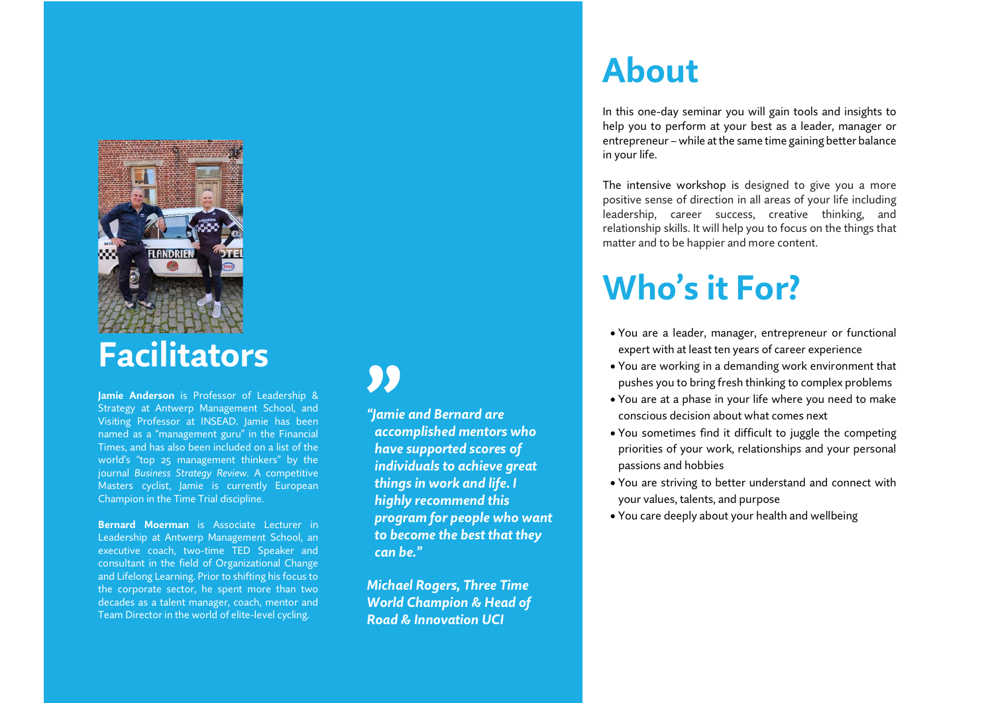

Jamie Anderson is Professor of Leadership & Strategy at Antwerp Management School, and Visiting Professor at INSEAD. Jamie has been named as a "management guru" in the Financial Times, and has also been included on a list of the world's "top 25 management thinkers" by the journal Business Strategy Review. A competitive Masters cyclist, Jamie is currently European Champion in the Time Trial discipline.

Bernard Moerman is Associate Lecturer in Leadership at Antwerp Management School, an executive coach, two-time TED Speaker and consultant in the field of Organizational Change and Lifelong Learning. Prior to shifting his focus to the corporate sector, he spent more than two decades as a talent manager, coach, mentor and Team Director in the world of elite-level cycling.

99

"Jamie and Bernard are accomplished mentors who have supported scores of individuals to achieve great things in work and life. I highly recommend this program for people who want to become the best that they can be."

Michael Rogers, Three Time World Champion & Head of Road & Innovation UCI

### About

In this one-day seminar you will gain tools and insights to help you to perform at your best as a leader, manager or entrepreneur – while at the same time gaining better balance in your life.

The intensive workshop is designed to give you a more positive sense of direction in all areas of your life including leadership, career success, creative thinking, and relationship skills. It will help you to focus on the things that matter and to be happier and more content.

## Who's it For?

- You are a leader, manager, entrepreneur or functional expert with at least ten years of career experience
- You are working in a demanding work environment that pushes you to bring fresh thinking to complex problems
- You are at a phase in your life where you need to make conscious decision about what comes next
- You sometimes find it difficult to juggle the competing priorities of your work, relationships and your personal passions and hobbies
- You are striving to better understand and connect with your values, talents, and purpose
- You care deeply about your health and wellbeing